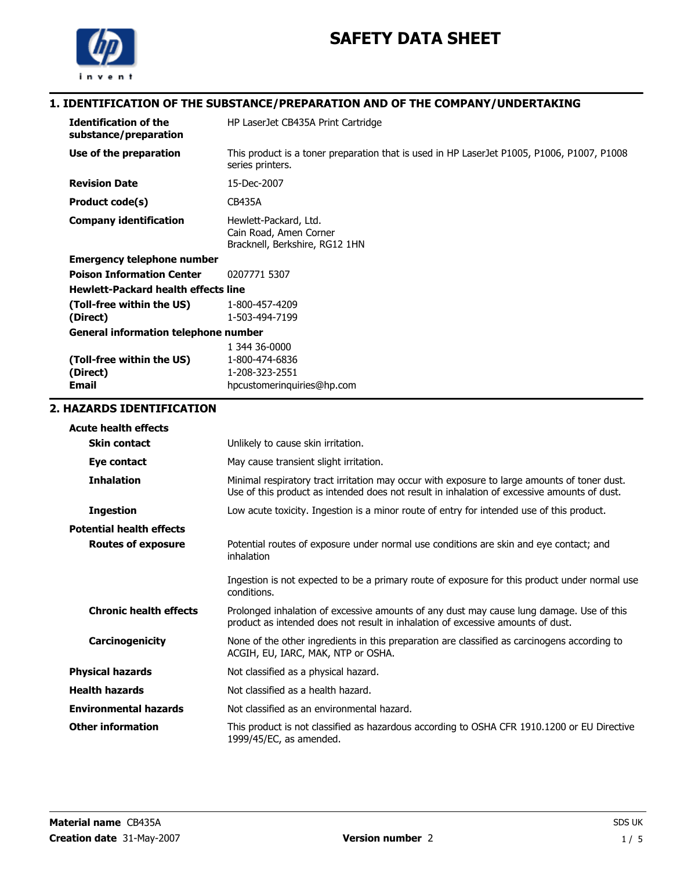

 $\overline{2}$ .

## 1. IDENTIFICATION OF THE SUBSTANCE/PREPARATION AND OF THE COMPANY/UNDERTAKING

| <b>Identification of the</b><br>substance/preparation | HP LaserJet CB435A Print Cartridge                                                                             |
|-------------------------------------------------------|----------------------------------------------------------------------------------------------------------------|
| Use of the preparation                                | This product is a toner preparation that is used in HP LaserJet P1005, P1006, P1007, P1008<br>series printers. |
| <b>Revision Date</b>                                  | 15-Dec-2007                                                                                                    |
| Product code(s)                                       | <b>CB435A</b>                                                                                                  |
| <b>Company identification</b>                         | Hewlett-Packard, Ltd.<br>Cain Road, Amen Corner<br>Bracknell, Berkshire, RG12 1HN                              |
| <b>Emergency telephone number</b>                     |                                                                                                                |
| <b>Poison Information Center</b>                      | 0207771 5307                                                                                                   |
| <b>Hewlett-Packard health effects line</b>            |                                                                                                                |
| (Toll-free within the US)                             | 1-800-457-4209                                                                                                 |
| (Direct)                                              | 1-503-494-7199                                                                                                 |
| <b>General information telephone number</b>           |                                                                                                                |
|                                                       | 1 344 36-0000                                                                                                  |
| (Toll-free within the US)                             | 1-800-474-6836                                                                                                 |
| (Direct)<br><b>Email</b>                              | 1-208-323-2551                                                                                                 |
|                                                       | hpcustomerinquiries@hp.com                                                                                     |
| 2. HAZARDS IDENTIFICATION                             |                                                                                                                |
| <b>Acute health effects</b>                           |                                                                                                                |
| <b>Skin contact</b>                                   | Unlikely to cause skin irritation.                                                                             |
|                                                       |                                                                                                                |

| Skin contact                    | Unlikely to cause skin irritation.                                                                                                                                                          |
|---------------------------------|---------------------------------------------------------------------------------------------------------------------------------------------------------------------------------------------|
| Eye contact                     | May cause transient slight irritation.                                                                                                                                                      |
| <b>Inhalation</b>               | Minimal respiratory tract irritation may occur with exposure to large amounts of toner dust.<br>Use of this product as intended does not result in inhalation of excessive amounts of dust. |
| <b>Ingestion</b>                | Low acute toxicity. Ingestion is a minor route of entry for intended use of this product.                                                                                                   |
| <b>Potential health effects</b> |                                                                                                                                                                                             |
| <b>Routes of exposure</b>       | Potential routes of exposure under normal use conditions are skin and eye contact; and<br>inhalation                                                                                        |
|                                 | Ingestion is not expected to be a primary route of exposure for this product under normal use<br>conditions.                                                                                |
| <b>Chronic health effects</b>   | Prolonged inhalation of excessive amounts of any dust may cause lung damage. Use of this<br>product as intended does not result in inhalation of excessive amounts of dust.                 |
| Carcinogenicity                 | None of the other ingredients in this preparation are classified as carcinogens according to<br>ACGIH, EU, IARC, MAK, NTP or OSHA.                                                          |
| <b>Physical hazards</b>         | Not classified as a physical hazard.                                                                                                                                                        |
| <b>Health hazards</b>           | Not classified as a health hazard.                                                                                                                                                          |
| <b>Environmental hazards</b>    | Not classified as an environmental hazard.                                                                                                                                                  |
| <b>Other information</b>        | This product is not classified as hazardous according to OSHA CFR 1910.1200 or EU Directive<br>1999/45/EC, as amended.                                                                      |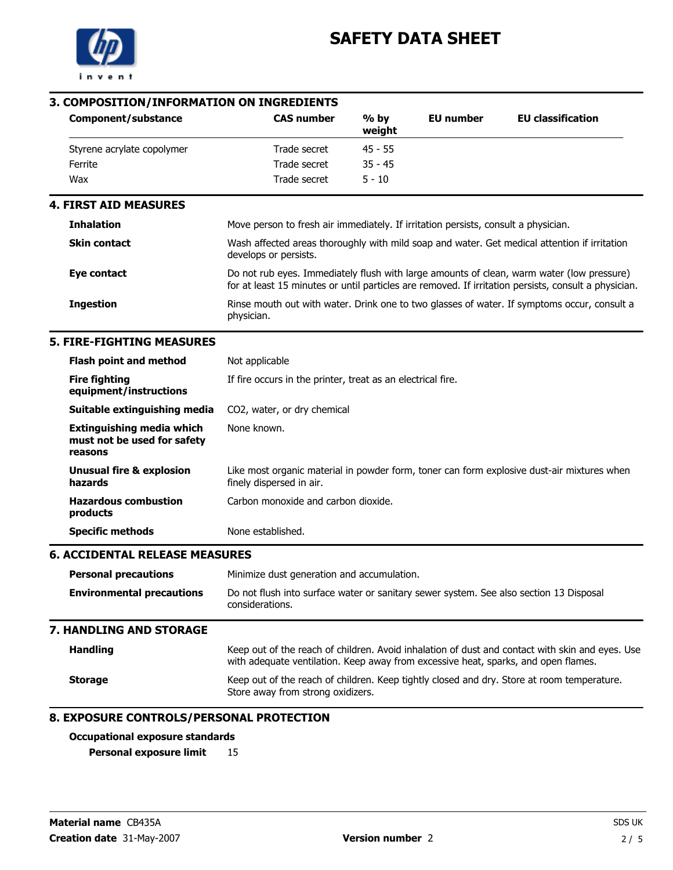

# 3. COMPOSITION/INFORMATION ON INGREDIENTS

| Component/substance                                                        | <b>CAS number</b>                                                                                         | $%$ by<br>weight | <b>EU</b> number | <b>EU classification</b>                                                                                                                                                                          |
|----------------------------------------------------------------------------|-----------------------------------------------------------------------------------------------------------|------------------|------------------|---------------------------------------------------------------------------------------------------------------------------------------------------------------------------------------------------|
| Styrene acrylate copolymer                                                 | Trade secret                                                                                              | $45 - 55$        |                  |                                                                                                                                                                                                   |
| Ferrite                                                                    | Trade secret                                                                                              | $35 - 45$        |                  |                                                                                                                                                                                                   |
| Wax                                                                        | Trade secret                                                                                              | $5 - 10$         |                  |                                                                                                                                                                                                   |
| <b>4. FIRST AID MEASURES</b>                                               |                                                                                                           |                  |                  |                                                                                                                                                                                                   |
| <b>Inhalation</b>                                                          | Move person to fresh air immediately. If irritation persists, consult a physician.                        |                  |                  |                                                                                                                                                                                                   |
| <b>Skin contact</b>                                                        | develops or persists.                                                                                     |                  |                  | Wash affected areas thoroughly with mild soap and water. Get medical attention if irritation                                                                                                      |
| <b>Eye contact</b>                                                         |                                                                                                           |                  |                  | Do not rub eyes. Immediately flush with large amounts of clean, warm water (low pressure)<br>for at least 15 minutes or until particles are removed. If irritation persists, consult a physician. |
| <b>Ingestion</b>                                                           | physician.                                                                                                |                  |                  | Rinse mouth out with water. Drink one to two glasses of water. If symptoms occur, consult a                                                                                                       |
| <b>5. FIRE-FIGHTING MEASURES</b>                                           |                                                                                                           |                  |                  |                                                                                                                                                                                                   |
| <b>Flash point and method</b>                                              | Not applicable                                                                                            |                  |                  |                                                                                                                                                                                                   |
| <b>Fire fighting</b><br>equipment/instructions                             | If fire occurs in the printer, treat as an electrical fire.                                               |                  |                  |                                                                                                                                                                                                   |
| Suitable extinguishing media                                               | CO <sub>2</sub> , water, or dry chemical                                                                  |                  |                  |                                                                                                                                                                                                   |
| <b>Extinguishing media which</b><br>must not be used for safety<br>reasons | None known.                                                                                               |                  |                  |                                                                                                                                                                                                   |
| <b>Unusual fire &amp; explosion</b><br>hazards                             | finely dispersed in air.                                                                                  |                  |                  | Like most organic material in powder form, toner can form explosive dust-air mixtures when                                                                                                        |
| <b>Hazardous combustion</b><br>products                                    | Carbon monoxide and carbon dioxide.                                                                       |                  |                  |                                                                                                                                                                                                   |
| <b>Specific methods</b>                                                    | None established.                                                                                         |                  |                  |                                                                                                                                                                                                   |
| <b>6. ACCIDENTAL RELEASE MEASURES</b>                                      |                                                                                                           |                  |                  |                                                                                                                                                                                                   |
| <b>Personal precautions</b>                                                | Minimize dust generation and accumulation.                                                                |                  |                  |                                                                                                                                                                                                   |
| <b>Environmental precautions</b>                                           | Do not flush into surface water or sanitary sewer system. See also section 13 Disposal<br>considerations. |                  |                  |                                                                                                                                                                                                   |
| <b>7. HANDLING AND STORAGE</b>                                             |                                                                                                           |                  |                  |                                                                                                                                                                                                   |
| <b>Handling</b>                                                            | with adequate ventilation. Keep away from excessive heat, sparks, and open flames.                        |                  |                  | Keep out of the reach of children. Avoid inhalation of dust and contact with skin and eyes. Use                                                                                                   |
| <b>Storage</b>                                                             | Store away from strong oxidizers.                                                                         |                  |                  | Keep out of the reach of children. Keep tightly closed and dry. Store at room temperature.                                                                                                        |

### Occupational exposure standards

Personal exposure limit 15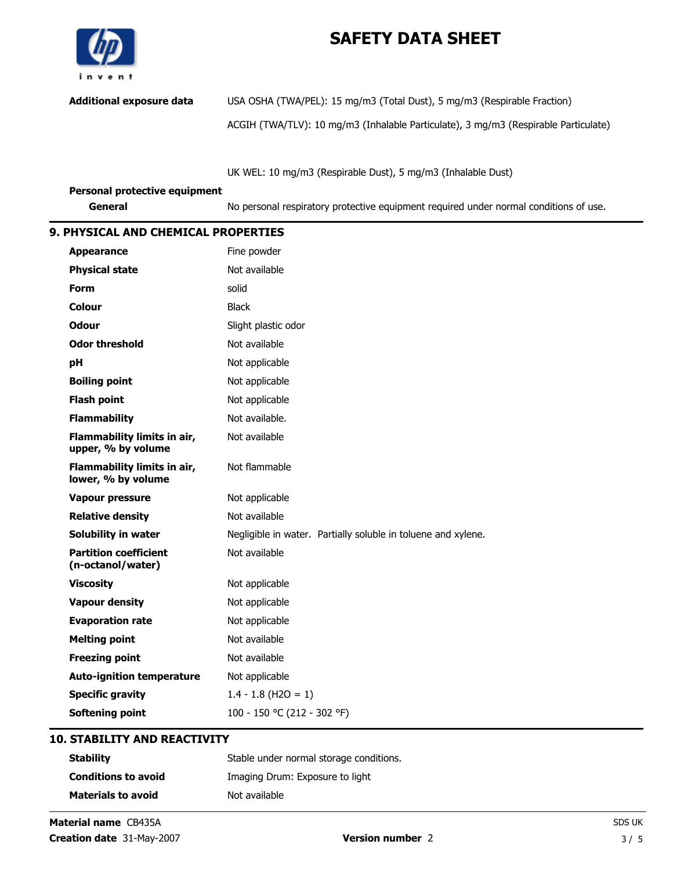

Additional exposure data USA OSHA (TWA/PEL): 15 mg/m3 (Total Dust), 5 mg/m3 (Respirable Fraction)

ACGIH (TWA/TLV): 10 mg/m3 (Inhalable Particulate), 3 mg/m3 (Respirable Particulate)

UK WEL: 10 mg/m3 (Respirable Dust), 5 mg/m3 (Inhalable Dust)

| Personal protective equipment |                                                                                       |
|-------------------------------|---------------------------------------------------------------------------------------|
| General                       | No personal respiratory protective equipment required under normal conditions of use. |

#### 9. PHYSICAL AND CHEMICAL PROPERTIES

| <b>Appearance</b>                                 | Fine powder                                                   |
|---------------------------------------------------|---------------------------------------------------------------|
| <b>Physical state</b>                             | Not available                                                 |
| <b>Form</b>                                       | solid                                                         |
| <b>Colour</b>                                     | <b>Black</b>                                                  |
| <b>Odour</b>                                      | Slight plastic odor                                           |
| <b>Odor threshold</b>                             | Not available                                                 |
| pH                                                | Not applicable                                                |
| <b>Boiling point</b>                              | Not applicable                                                |
| <b>Flash point</b>                                | Not applicable                                                |
| <b>Flammability</b>                               | Not available.                                                |
| Flammability limits in air,<br>upper, % by volume | Not available                                                 |
| Flammability limits in air,<br>lower, % by volume | Not flammable                                                 |
| <b>Vapour pressure</b>                            | Not applicable                                                |
| <b>Relative density</b>                           | Not available                                                 |
| Solubility in water                               | Negligible in water. Partially soluble in toluene and xylene. |
| <b>Partition coefficient</b><br>(n-octanol/water) | Not available                                                 |
| <b>Viscosity</b>                                  | Not applicable                                                |
| <b>Vapour density</b>                             | Not applicable                                                |
| <b>Evaporation rate</b>                           | Not applicable                                                |
| <b>Melting point</b>                              | Not available                                                 |
| <b>Freezing point</b>                             | Not available                                                 |
| <b>Auto-ignition temperature</b>                  | Not applicable                                                |
| <b>Specific gravity</b>                           | $1.4 - 1.8$ (H2O = 1)                                         |
| <b>Softening point</b>                            | 100 - 150 °C (212 - 302 °F)                                   |

## 10. STABILITY AND REACTIVITY

| <b>Stability</b>           | Stable under normal storage conditions. |
|----------------------------|-----------------------------------------|
| <b>Conditions to avoid</b> | Imaging Drum: Exposure to light         |
| <b>Materials to avoid</b>  | Not available                           |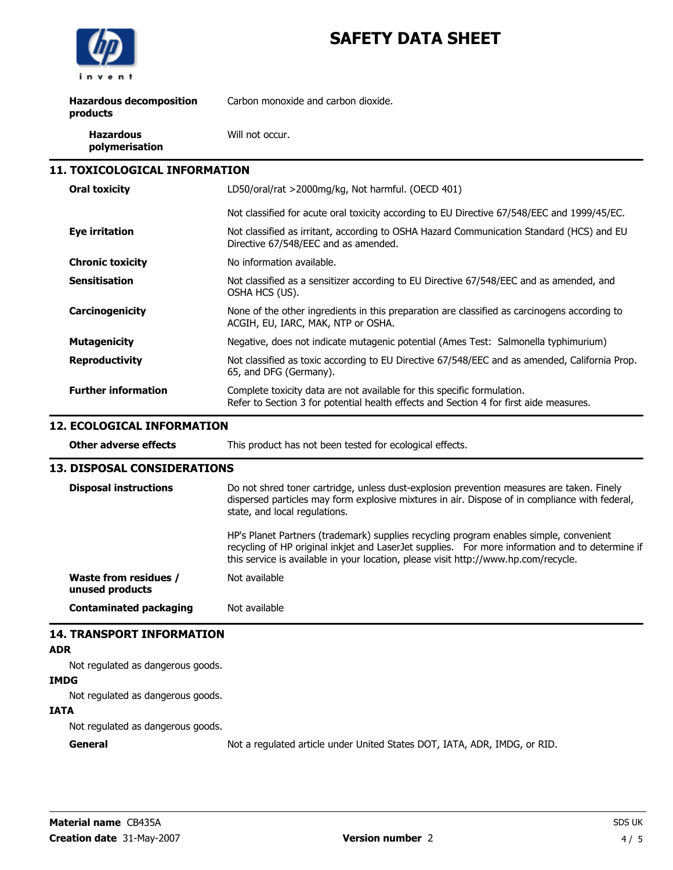

| <b>Hazardous decomposition</b><br>products | Carbon monoxide and carbon dioxide.                                                                                                                               |
|--------------------------------------------|-------------------------------------------------------------------------------------------------------------------------------------------------------------------|
| <b>Hazardous</b><br>polymerisation         | Will not occur.                                                                                                                                                   |
| <b>11. TOXICOLOGICAL INFORMATION</b>       |                                                                                                                                                                   |
| <b>Oral toxicity</b>                       | LD50/oral/rat >2000mg/kg, Not harmful. (OECD 401)                                                                                                                 |
|                                            | Not classified for acute oral toxicity according to EU Directive 67/548/EEC and 1999/45/EC.                                                                       |
| <b>Eye irritation</b>                      | Not classified as irritant, according to OSHA Hazard Communication Standard (HCS) and EU<br>Directive 67/548/EEC and as amended.                                  |
| <b>Chronic toxicity</b>                    | No information available.                                                                                                                                         |
| <b>Sensitisation</b>                       | Not classified as a sensitizer according to EU Directive 67/548/EEC and as amended, and<br>OSHA HCS (US).                                                         |
| Carcinogenicity                            | None of the other ingredients in this preparation are classified as carcinogens according to<br>ACGIH, EU, IARC, MAK, NTP or OSHA.                                |
| <b>Mutagenicity</b>                        | Negative, does not indicate mutagenic potential (Ames Test: Salmonella typhimurium)                                                                               |
| <b>Reproductivity</b>                      | Not classified as toxic according to EU Directive 67/548/EEC and as amended, California Prop.<br>65, and DFG (Germany).                                           |
| <b>Further information</b>                 | Complete toxicity data are not available for this specific formulation.<br>Refer to Section 3 for potential health effects and Section 4 for first aide measures. |

## 12. ECOLOGICAL INFORMATION

| Other adverse effects                    | This product has not been tested for ecological effects.                                                                                                                                                                                                                                                                                                                                                                  |  |
|------------------------------------------|---------------------------------------------------------------------------------------------------------------------------------------------------------------------------------------------------------------------------------------------------------------------------------------------------------------------------------------------------------------------------------------------------------------------------|--|
| <b>13. DISPOSAL CONSIDERATIONS</b>       |                                                                                                                                                                                                                                                                                                                                                                                                                           |  |
| <b>Disposal instructions</b>             | Do not shred toner cartridge, unless dust-explosion prevention measures are taken. Finely<br>dispersed particles may form explosive mixtures in air. Dispose of in compliance with federal,<br>state, and local regulations.<br>HP's Planet Partners (trademark) supplies recycling program enables simple, convenient<br>recycling of HP original inkjet and LaserJet supplies. For more information and to determine if |  |
|                                          | this service is available in your location, please visit http://www.hp.com/recycle.                                                                                                                                                                                                                                                                                                                                       |  |
| Waste from residues /<br>unused products | Not available                                                                                                                                                                                                                                                                                                                                                                                                             |  |
| Contaminated packaging                   | Not available                                                                                                                                                                                                                                                                                                                                                                                                             |  |

## 14. TRANSPORT INFORMATION

#### ADR

Not regulated as dangerous goods.

#### IMDG

Not regulated as dangerous goods.

#### IATA

Not regulated as dangerous goods.

General General Not a regulated article under United States DOT, IATA, ADR, IMDG, or RID.